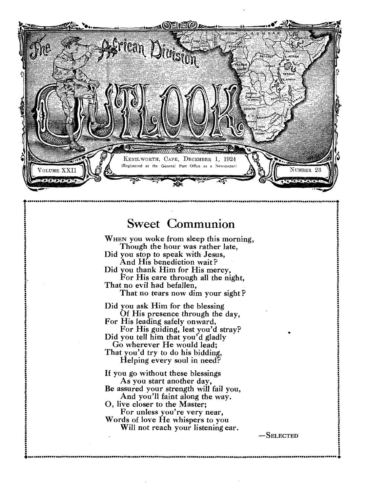

# Sweet Communion

WHEN you woke from sleep this morning, Though the hour was rather late,

Did you stop to speak with Jesus, And His benediction wait ?

Did you thank Him for His mercy,

For His care through all the night, That no evil had befallen,

That no tears now dim your sight?

Did you ask Him for the blessing

Of His presence through the day, For His leading safely onward,

For His guiding, lest you'd stray? Did you tell him that you'd gladly

Go wherever He would lead;

That you'd try to do his bidding, Helping every soul in need?

If you go without these blessings As you start another day,

Be assured your strength will fail you, And you'll faint along the way.

0, live closer to the Master;

For unless you're very near, Words of love He whispers to you

Will not reach your listening ear.

 $-$ Selected

•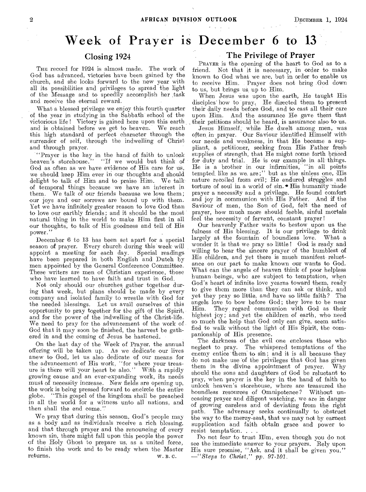# Week of Prayer is December 6 to 13

#### Closing 1924

THE record for 1924 is almost made. The work of God has advanced, victories have been gained by the church, and she looks forward to the new year with all its possibilities and privileges to spread the light of the Message and to speedily accomplish her task and receive the eternal reward.

What a blessed privilege we enjoy this fourth quarter of the year in studying in the Sabbath school of the victorious life! Victory is gained here upon this earth and is obtained before we get to heaven. We reach this high standard of perfect character through the surrender of self, through the indwelling of Christ and through prayer.

"Prayer is the key in the hand of faith to unlock heaven's storehouse." "If we would but think of God as often as we have evidence of His care for us, we should keep Him ever in our thoughts and should delight to talk of Him and to praise Him. We talk of temporal things because we have an interest in them. We talk of our friends because we love them; our joys and our sorrows are bound up with them. Yet we have infinitely greater reason to love God than to love our earthly friends; and it should be the most natural thing in the world to make Him first in all our thoughts, to talk of His goodness and tell of His power."

December 6 to 13 has been set apart for a special season of prayer. Every church during this week will appoint a meeting for each day. Special readings have been prepared in both English and Dutch by men appointed by the General Conference Committee. These writers are men of Christian experience, those who have learned to have faith and trust in God.

Not only should our churches gather together during that week, but plans should be made by every company and isolated family to wrestle with God for the needed blessings. Let us avail ourselves of this opportunity to pray together for the gift of the Spirit, and for the power of the indwelling of the Christ-life. We need to pray for the advancement of the work of God that it may soon be finished, the harvest be gathered in and the coming of Jesus be hastened.

On the last day of the Week of Prayer, the annual offering will be taken up. As we dedicate our lives anew to God, let us also dedicate of our means for the advancement of His work, "for where your treasure is there will your heart be also." With a rapidly growing cause and an ever-expanding work, its needs must of necessity increase. New fields are opening up, the work is being pressed forward to encircle the entire globe. "This gospel of the kingdom shall be preached "This gospel of the kingdom shall be preached in all the world for a witness unto all nations, and then shall the end come."

We pray that during this season, God's people may as a body and as individuals receive a rich blessing, and that through prayer and the renouncing of every known sin, there might fall upon this people the power of the Holy Ghost to prepare us, as a united force, to finish the work and to be ready when the Master returns.  $w \cdot R \cdot G$ . returns. W. B. C.

#### The Privilege of Prayer

PRAYER is the opening of the heart to God as to a friend. Not that it is necessary, in order to make known to God what we are, but in order to enable us to receive Him. Prayer does not bring God down to us, but brings us, up to Him.

When Jesus was upon the earth, He taught His disciples" how to pray. He directed them to present their daily needs before God, and to cast all their care upon Him. And the assurance He gave them that their petitions should be heard, is assurance also to us.

Jesus Himself; while He dwelt among men, was often, in prayer. Our Saviour identified Himself with our needs and weakness, in that He became a suppliant, a petitioner, seeking from His Father fresh supplies of strength, that He might come forth braced for duty and trial. He is our example in all things. He is a brother in our infirmities, "in all points tempted like as we, are;" but as the sinless one, His nature recoiled from evil; He endured struggles and torture of soul in a world of  $\sin$ .  $\bullet$  His humanity made prayer a necessity and a privilege. He found comfort and joy in communion with His Father. And if the Saviour of men, the Son of God, felt the need of prayer, how much more should feeble, sinful mortals feel the necessity of fervent, constant prayer !

Our heavenly Father waits to bestow upon us the fulness of His blessing. It is our privilege to drink<br>largely at the fountain of boundless love. What a largely at the fountain of boundless love. wonder it is that we pray so little ! God is ready and willing to hear the sincere prayer of the humblest of His children, and yet there is much manifest reluctance on our part to make known our wants to God. What can the angels of heaven think of poor helpless human beings, who are subject to temptation, when God's heart of infinite love yearns toward them, ready to give them more than they can ask or think, and yet they pray so little, and have so little faith? The angels love to bow before God; they love to be near Him. They regard communion with God as their highest joy; and yet the children of earth, who need so much the help that God only can give, seem satisfied to walk without the light of His Spirit, the companionship of His presence.

The darkness of the evil one encloses those who neglect to pray. The whispered temptations of the enemy entice them to sin; and it is all because they do not make use of the privileges that God has given<br>them in the divine appointment of prayer. Why them in the divine appointment of prayer. should the sons and daughters of God be reluctant to pray, when prayer is the key in the hand of faith to unlock heaven's storehouse, where are treasured the boundless resources of Omnipotence? Without unboundless resources of Omnipotence? ceasing prayer and diligent watching, we are in danger of growing careless and of deviating from the right The adversary seeks continually to obstruct the way to the mercy-seat, that we may not by earnest supplication and faith obtain grace and power to resist temptation. . . .

Do not fear to trust Him, even though you do not see the immediate answer to your prayers. Rely upon His sure promise, "Ask, and it shall be given you." *—"Steps to Christ," pp. 97-101.*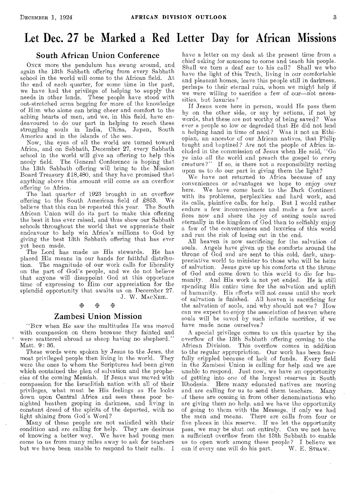# Let Dec. 27 be Marked a Red Letter Day for African Missions

#### South African Union Conference

ONCE more the pendulum has swung around, and again the 13th Sabbath offering from every Sabbath school in the world will come to the African field. At the end of each quarter, for some time in the past, we have had the privilege of helping to supply the needs in other lands. These people have stood with out-stretched arms begging for more of the knowledge of Him who alone can bring cheer and comfort to the aching hearts of men, and we, in this field, have endeavoured to do our part in helping to reach these struggling souls in India, China, Japan, South America and in the islands of the sea.

Now, the eyes of all the world are turned toward Africa, and on Sabbath, December 27, every Sabbath school in the world will give an offering to help this needy field. The General Conference is hoping that the 13th Sabbath offering will bring to the Mission Board Treasury £18,480, and they. have promised that anything above this .amount will come as an overflow offering to Africa.

The last quarter of 1923 brought in an overflow offering to the South American field of  $£853$ . We believe that this can be repeated this year. The South African Union will do its part to make this offering the best it has ever raised, and thus show our Sabbath schools throughout the world that we appreciate their endeavour to help win Africa's millions to God by giving the best 13th Sabbath offering that has ever yet been made.

The Lord has made us His stewards. He has placed His means in our hands for faithful distribution. The magnitude of our work calls for liberality on the part of God's people, and we do not believe that anyone will disappoint God at this opportune time of expressing to Him our appreciation for the splendid opportunity that awaits us on December 27. J. W. MACNEIL.

# e 5Z4

#### Zambesi Union Mission

"Bur when He saw the multitudes He was moved with compassion on them because they fainted and were scattered abroad as sheep having no shepherd." Matt. 9: 36.

These words were spoken by Jesus to the Jews, the most privileged people then living in the world. They were the ones to whom the Scriptures had been given which contained the plan of salvation and the prophecies of the coming Messiah. If Jesus was moved with compassion for the Israelitish nation with all of their privileges, what must be His feelings as He looks down upon Central Africa and sees these poor benighted heathen groping in darkness, and living in constant dread of the spirits of the departed, with no light shining from God's Word?

Many of these people are not satisfied with their condition and are calling for help. They are desirous of knowing a better way. We have had young men come to us from many miles away to ask for teachers but we have been unable to respond to their calls. I

have a letter on my desk at the present time from a chief asking for someone to come and teach his people. Shall we turn a deaf ear to his call? Shall we who have the light of this Truth, living in our comfortable and pleasant homes, leave this people still in darkness, perhaps to their eternal ruin, whom we might help if we were willing to sacrifice a few of our—riot necessities, but luxuries?

If Jesus were here in person, would He pass them by on the other side, or say by actions, if not by words, that these are not worthy of being saved? Was ever a people so low or degraded that He did not lend a helping hand in time of need? Was it not an Ethiopian, an ancestor of our African natives, that Philip taught and baptized? Are not the people of Africa included in the commission of Jesus when He said, "Go ye into *all* the world and preach the gospel to *every*  creature?" If so, is there not a responsibility resting upon us to do our part in giving them the light?

We have not returned to Africa because of any conveniences or advantages we hope to enjoy over here. We have come back to the Dark Continent with its problems, perplexities and hard work, and its calls, plaintive calls, for help. But I would rather endure a few inconveniences and make a few sacrifices now and share the joy of seeing souls saved eternally in the kingdom of God than to selfishly enjoy a few of the conveniences and luxuries of this world and run the risk of losing out in the end.

All heaven is now sacrificing for the salvation of souls. Angels have given up the comforts around the throne of God and are sent to this cold, dark, unappreciative world to minister to those who will be heirs of salvation. Jesus gave up his comforts at the throne of God and came down to this world to die for humanity. And His work is not yet ended. He is still spending His entire time for the salvation and uplift of humanity. His efforts will not cease until the work of salvation is finished. All heaven is sacrificing for the salvation of souls, and why should not we? How can we expect to enjoy the association of heaven where souls will be saved by such infinite sacrifice, if we have made none ourselves?

A special privilege comes to us this quarter by the overflow of the 13th Sabbath offering coming to the African Division. This overflow comes in addition to the regular appropriation. Our work has been fearfully crippled because of lack of funds. Every field in the Zambesi Union is calling for help and we are unable to respond. Just now, we have an opportunity of getting into one of the largest reserves in South Rhodesia. Here many educated natives are moving and are calling for us to send them teachers. Many of these are coming in from other denominations who are giving them no help, and we have the opportunity of going to them with the Message, if only we had the men and means. There are calls from four or five places in this reserve. If we let the opportunity pass, we may be shut out entirely. Can we not have a sufficient overflow from the 13th Sabbath to enable us to open work among these people? I believe we can if every one will do his part.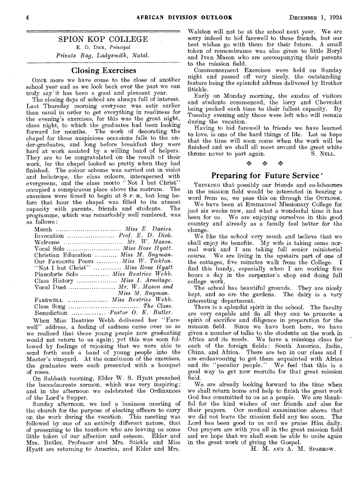#### SPION KOP COLLEGE E. D. DICE, *Principal*

*Private Bag, Ladysmith, Natal.* 

#### Closing Exercises

ONCE more we have come to the close of another school year and as we look back over the past we can truly say' it has been a good and pleasant year.

The closing days of school are always full of interest. Last Thursday morning everyone was astir earlier than usual in order to get everything in readiness for the evening's exercises, for this was the great night, class night, to which the graduates had been looking forward for months. The work of decorating the chapel for these auspicious occasions falls to the under-graduates, and long before breakfast they were hard at work assisted by a willing band of helpers. They are to be congratulated on the result of their work, for the chapel looked so pretty when they had finished. The colour scheme was carried out in violet and heliotrope, the class colours, interspersed with evergreens, and the class motto "Not I but Christ" occupied a conspicuous place above the rostrum. The exercises were timed to begin at 8 P.m, but long before that hour the chapel. was filled to its utmost capacity with parents, friends and students. The capacity with parents, friends and students. programme, which was remarkably well rendered, was as follows:

| March  Miss E. Davies.               |                 |
|--------------------------------------|-----------------|
| Invocation  Prof. E. D. Dick.        |                 |
| Welcome  Mr. W. Mason.               |                 |
| Vocal Solo  Miss Rose Hyatt.         |                 |
| Christian Education  Miss M. Snyman. |                 |
| Our Favourite Poem  Miss W. Tickton. |                 |
| "Not I but Christ"   Miss Rose Hyatt |                 |
| Pianoforte Solo  Miss Beatrice Webb. |                 |
| Class History  Miss I. Armitage.     |                 |
| Vocal Duet  Mr. W. Mason and         |                 |
|                                      | Miss M. Snyman. |
| FAREWELL  Miss Beatrice Webb.        |                 |
|                                      |                 |
| Benediction  Pastor O. K. Butler.    |                 |

When Miss Beatrice Webb delivered her "Farewell" address, a feeling of sadness came over us as we realized that these young people now graduating would not return to us again; yet this was soon followed by feelings of rejoicing that we were able to send forth such a band of young people into the Master's vineyard. At the conclusion of the exercises, the graduates were each presented with a bouquet of roses.

On Sabbath morning, Elder W. S. Hyatt preached the baccalaureate sermon, which was very inspiring; and in the afternoon we celebrated the Ordinances of the Lord's Supper.

Sunday afternoon, we had a business meeting of the church for the purpose of electing officers to carry on the work during the vacation. This meeting was followed by one of an entirely different nature, that of presenting to the teachers who are leaving us some little token of our affection and esteem. Elder and Mrs. Butler, Professor and Mrs. Stickle and Miss Hyatt are returning to America, and Elder and Mrs.

Walston will not be at the school next year. We are sorry indeed to bid farewell to these friends, but our best wishes go with them for their future. A small token of remembrance was also given to little Beryl and Ivan Mason who are accompanying their parents to the mission field.

Commencement Exercises were held on Sunday night and passed off very nicely, the outstanding feature being the splendid address delivered by Brother Stickle.

Early on Monday morning, the exodus of visitors and students commenced, the lorry and Chevrolet being packed each time to their fullest capacity. By Tuesday evening only those were left who will remain during the vacation.

Having to bid farewell to friends we have learned to love, is one of the hard things of life. Let us hope that the time will soon come when the work will be finished and we shall all meet around the great white<br>throne never to part again. S. NELL. throne never to part again.

#### Preparing for Future Service '

THINKING that possibly our friends and co-labourers in the mission field would be interested in hearing a word from us, we pass this on through the OUTLOOK.

We have been at Emmanuel Missionary College for just six weeks now, and what a wonderful time it has been for us. We are enjoying ourselves in this good country and already as a family feel better for the change.

We like the school very much and believe that we shall enjoy its benefits. My wife is taking some normal work and I am taking full senior ministerial course. We are living in the upstairs part of one of the cottages, five minutes walk from the College. I find this handy, especially when I am working five hours a day in the carpenter's shop and doing full college work.

The school has beautiful grounds. They are nicely kept, and so are the gardens. The dairy is a very interesting department.

There is a splendid spirit in the school. The faculty are very capable and do all they can to promote a spirit of sacrifice and diligence in preparation for the mission field. Since we have been here, we have Since we have been here, we have given a number of talks to the students on the work in Africa and its needs. We have a missions class for each of the foreign fields: South America, India, China, and Africa. There are ten in our class and I am endeavouring to get them acquainted with Africa and its "peculiar people." We feel that this is a good way to get new recruits for that great mission field.

We are already looking forward to the time when we shall return home and help to finish the great work God has committed to us as a people. We are thankful for the kind wishes of our friends and also for their prayers. Our medical examination shows that we did not leave the mission field any too soon. The Lord has been good to us and we praise Him daily. Our prayers are with you all in the great mission field and we hope that we shall soon be able to unite again in the great work of giving the Gospel.

H. M. AND A. M. SPARROW.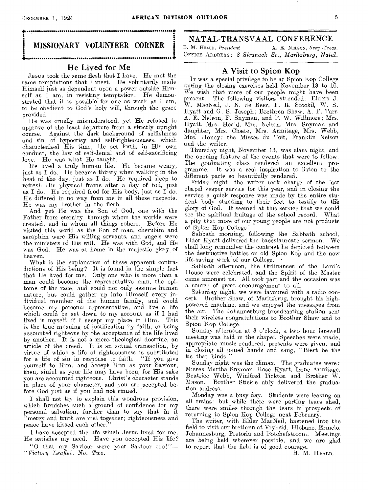•.•

•<br>•

# MISSIONARY VOLUNTEER CORNER

### **• .......................... aaaaaaaaa suanamass.mazrnmatseame.see aaaaaaaaa**  He Lived for Me

JESUS took the same flesh that I have. He met the same temptations that I meet. He voluntarily made Himself just as dependent upon a power outside Himself as I am, in resisting temptation. He demonstrated that it is possible for one as weak as I am, to be obedient to God's holy will, through the grace provided.

He was cruelly misunderstood, yet He refused to approve of the least departure from a strictly upright course. Against the dark background of selfishness and sin, of hypocrisy and self-righteousness, which characterized His time, He set forth, in His own conduct, the law of self-denial and of self-sacrificing love. He was what He taught.

He lived a truly human life. He became weary, just as I do. He became thirsty when walking in the heat of the day, just as I do. He required sleep to refresh His physical frame after a day of toil, just as I do. He required food for His body, just as I do. He differed in no way from me in all these respects. He was my brother in the flesh.

And yet He was the Son of God, one with the Father from eternity, through whom the worlds were created, and in whom all things cohere. Before He visited this world as the Son of man, cherubim and seraphim were His willing servants, and angels were the ministers of His will. He was with God, and He was God. He was at home in the majestic glory of heaven.

What is the explanation of these apparent contradictions of His being? It is found in the simple fact that He lived for me. Only one who is more than a man could become the representative man, the epitome of the race, and could not only assume human nature, but could gather up into Himself every individual member of the human family, and could become my personal representative, and live a life which could be set down to my account as if I had lived it myself, if I accept my place in Him. This lived it myself, if I accept my place in Him. is the true meaning of justification by faith, or being accounted righteous by the acceptance of the life lived by another. It is not a mere theological doctrine, an article of the creed. It is an actual transaction, by virtue of which a life of righteousness is substituted for a life of sin in response to faith. "If you give yourself to Him, and accept Him as your Saviour, then, sinful as your life may have been, for His sake you are accounted righteous. Christ's character stands in place of your character, and you are accepted before God just as if you had not sinned.

I shall not try to explain this wondrous provision, which furnishes such a ground of confidence for my personal salvation, further than to say that in it mercy and truth are met together; righteousness and peace have kissed each other."

I have accepted the life which Jesus lived for me. He satisfies my need. Have you accepted His life?

"0 that my Saviour were your Saviour too!"— *"Victory Leaflet, No. Two.* 

#### NATAL-TRANSVAAL CONFERENCE

B. M. HEALD, *President* A. E. NELSON, *Secy.-Treas.*  OFFICE ADDRESS : *8 Stranack St., Maritzburg, Natal.* 

### A Visit to Spion Kop

IT was a special privilege to be at Spion Kop College during the closing exercises held November 13 to 16. We wish that more of our people might have been present. The following visitors attended: Elders J. W. MacNeil, J. N. de Beer, F. R. Stockil, W. S. Hyatt and G. S. Joseph; Brethren Shaw, A. F. Tarr, A. E. Nelson, F. Snyman, and P. W. Willmore; Mrs. Hyatt, Mrs. Heald, Mrs. Nelson, Mrs. Snyman and daughter, Mrs. Cloete, Mrs. Armitage, Mrs. Webb, Mrs. Honey; the Misses du Toit, Franklin Nelson and the writer.

Thursday night, November 13, was class night, and the opening feature of the events that were to follow. The graduating class rendered an excellent programme. It was a real inspiration to listen to the different parts so beautifully rendered.

Friday night, the writer took charge of the last chapel vesper service for this year, and in closing the service a quick response was made by the entire student body standing to their feet to testify to th'e glory of God. It seemed at this service that we could see the spiritual fruitage of the school record. What a pity that more of our young people are not products of Spion Kop College !

Sabbath morning, following the Sabbath school, Elder Hyatt delivered the baccalaureate sermon. We shall long remember the contrast he depicted between the destructive battles on old Spion Kop and the now life-saving work of our College.

Sabbath afternoon, the Ordinances of the Lord's House were celebrated, and the Spirit of the Master came amongst us. All took part and the occasion was a source of great encouragement to all.

Saturday night, we were favoured with a radio concert. Brother Shaw, of Maritzbrug, brought his highpowered machine, and we enjoyed the messages from the air. The Johannesburg broadcasting station sent their wireless congratulations to Brother Shaw and to Spion Kop College.

Sunday afternoon at 3 o'clock, a two hour farewell meeting was held in the chapel. Speeches were made, appropriate music rendered, presents were given, and in closing all joined hands and sang, "Blest be the tie that binds.

Sunday night was the climax. The graduates were: Misses Martha Snyman, Rose Hyatt, Irene Armitage, Beatrice Webb, Winifred Tickton and Brother W.<br>Mason. Brother Stickle ably delivered the gradua-Brother Stickle ably delivered the graduation address.

Monday was a busy day. Students were leaving on all trains; but while there were parting tears shed, there were smiles through the tears in prospects of returning to Spion Kop College next February.

The writer, with Elder MacNeil, hastened into the field to visit our brethren at Vryheid, Hlobane, Ermelo, Johannesburg, Pretoria and Potchefstroom. Meetings are being held wherever possible, and we are glad to report that the field is of good courage.

B. M. HEALD.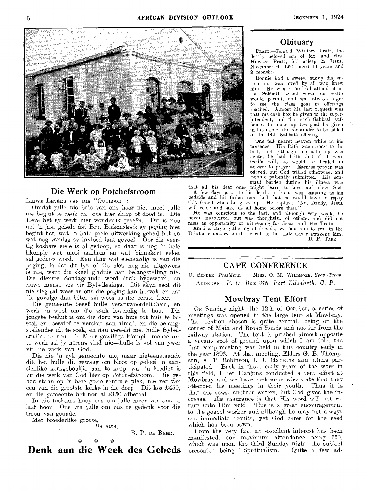

### Die Werk op Potchefstroom

LIEWE LESERS VAN DIE "OUTLOOK" :

Omdat julle nie baie van ons boor nie, moet julle nie begint te denk dat ons hier slaap of dood is. Die Here het sy werk hier wonderlik geseen. Dit is nou net 'n jaar gelede dat Bro. Birkenstock sy poging hier begint het, wat 'n baie goeie uitwerking gehad het en wat nog vandag sy invloed laat gevoel. Oor die veertig kosbare siele is al gedoop, en daar is nog 'n hele klompie wet mooi aankom en wat binnekort seker sal gedoop word. Een ding wat eienaardig is van die poging, is dat dit lyk of die plek nog nie uitgewerk is nie, want dit skeel gladnie aan belangstelling nie. Die dienste Sondagaande word druk bygewoon, en nuwe mense vra vir Bybellesings. Dit skyn asof dit nie sleg sal wees as ons die poging ken hervat, en dat die gevolge dan beter sal wees as die eerste keer.

Die gemeente besef hulle verantwoordelikheid, en werk en woel om die sack lewendig te hou. Die jongste besluit is om die dorp van huis tot huis te besoek en leesstof te verskaf aan almal, en die belangstellendes uit te soak, en dan gereeld met hulle Bybelstudies te hou. 'n Meer gewillige klompie manse om te werk sal jy nêrens vind nie—hulle is vol van ywer vir die werk van God.

Dis nie 'n ryk gemeente nie, maar nieteenstaande dit, het hulle dit gewaag om bloot op geloof 'n aansienlike kerkgeboutjie aan te koop, wat 'n krediet is vir die werk van God hier op Potchefstroom. Die gebou staan op 'n baie goeie sentrale plek, nie ver van een van die grootste kerke in die dorp. Dit kos £450, en die gemeente het non al X150 afbetaal.

In die toekoms hoop ons om julle meer van ons te laat hoar. Ons vra julle om ons te gedenk voor die troon van genade.

Met broederlike groete,

*De uwe,* 

B. P. DE BEER.

4 go >'a • oh **Denk aan die Week des Gebeds** 

#### **Obituary**

PRATT.—Ronald William Pratt, the dearly beloved son of Mr. and Mrs. Howard Pratt, fell asleep in Jesus, November 6, 1924, aged 10 years and 2 months.

Ronnie had a sweet, sunny disposition and was loved by all who knew him. He was a faithful attendant at the Sabbath school when his health would permit, and was always eager to see the class goal in -offerings reached. Almost his last request was that his cash box be given to the superintendent, and that each Sabbath sufficient to make up the goal be given in his name, the remainder to be added to the 13th Sabbath offering.

One felt nearer heaven while in his presence. His faith was strong to the last, and although his suffering was acute, he had faith that if it were God's will, he would be healed in answer to prayer. Earnest prayer was offered, but God willed otherwise, and Ronnie patiently submitted. His constant burden during his illness was

that all his dear ones might learn to love and obey God. A few days prior to his death, a friend was assisting at his bedside and his father remarked that he would have to repay this friend when he grew up. He replied, "No, Daddy, Jesus will come and take us all home before then."

He was conscious to the last, and although very weak, he never murmured, but was thoughtful of others, and did not

miss an opportunity of witnessing for Jesus and His Truth. Amid a large gathering of friends, we laid him to rest in the Brixton cemetery until the call of the Life Giver awakens him. D. F. TARR.

#### CAPE CONFERENCE

U. BENDER, *President,* Miss. 0. M. WILLMORE, *Secy.-Treas*  ADDRESS : *P. 0. Box 378, Port Elizabeth, C. P.* 

#### Mowbray Tent Effort

ON Sunday night, the 12th of October, a series of meetings was opened in the large tent at Mowbray. The location chosen is quite central, being on the corner of Main and Broad Roads and not far from the railway station. The tent is pitched almost opposite a vacant spot of ground upon which I am told, the first camp-meeting was held in this country early in the year 1896. At that meeting, Elders *G.* B. Thompson, A. T. Robinson, I. J. Hankins and others participated. Back in those early years of the work in this field, Elder Hankins conducted a tent effort at Mowbray and we have met some who state that they attended his meetings in their vouth. Thus it is attended his meetings in their youth. that one sows, another waters, but God gives the increase. His assurance is that His word will not return unto Him void. This is a great encouragement to the gospel worker and although he may not always see immediate results, yet God cares for the seed which has been sown.

From the very first an excellent interest has been manifested, our maximum attendance being 650, which was upon the third Sunday night, the subject<br>presented being "Spiritualism." Quite a few adpresented being "Spiritualism."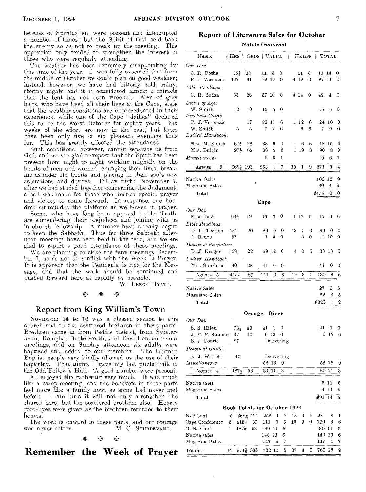herents of Spiritualism were present and interrupted a number of times; but the Spirit of God held back the enemy so as not to break up the meeting. This opposition only tended to strengthen the interest of those who were regularly attending.

The weather has been extremely disappointing for this time of the year. It was fully expected that from the middle of October we could plan on good weather; instead, however, we have had bitterly cold, rainy, stormy nights and it is considered almost a miracle that the tent has not been wrecked. Men of grey hairs, who have lived all their lives at the Cape, state that the weather conditions are unprecedented in their experience, while one of the Cape "dailies" declared this to be the worst October for eighty years. Six weeks of the effort are now in the past, but there have been only five or six pleasant evenings thus far. This has greatly affected the attendance.

Such conditions, however, cannot separate us from God, and we are glad to report that the Spirit has been present from night to night working mightily on the hearts of men and women, changing their lives, breaking asunder old habits and placing in their souls new aspirations and desires. Friday night, November 7, after we had studed together concerning the Judgment, a call was made for those who desired special prayer and victory to come forward. In response, one hundred surrounded the platform as we bowed in prayer.

Some, who have long been opposed to the Truth, are surrendering their prejudices and joining with us in church fellowship. A number have already begun to keep the Sabbath. Thus far three Sabbath afternoon meetings have been held in the tent, and we are glad to report a good attendance at these meetings.

We are planning to close the tent meetings December 7, so as not to conflict with the Week of Prayer. It is apparent that the Peninsula is ripe for the Message, and that the work should be continued and pushed forward here as rapidly as possible.

W. LEROY HYATT.

# $W$   $\ddot{\phi}$   $\phi$   $\phi$

#### Report from King William's Town

NOVEMBER 14 to 16 was a blessed season to this church and to the scattered brethren in these parts. Brethren came in from Peddie district, from Stutterheim, Komgha, Butterworth, and East London to our meetings, and on Sunday afternoon six adults were baptized and added to our members. The German Baptist people very kindly allowed us the use of their baptistry. That night, I gave my last public talk in the Odd'Fellow's Hall. 'A good number were present.

All enjoyed the gathering very much. It was much like a camp-meeting, and the believers in these parts feel more like a family now, as some had never met before. I am sure it will not only strengthen the church here, but the scattered brethren also. Hearty good-byes were given as the brethren returned to their homes.

The work is onward in these parts, and our courage was never better. M. C. STURDEVANT. M. C. STURDEVANT. .M<br>چ- ⊗- چ

## **Remember the Week of Prayer**

**Report of Literature Sales for October**  Natal=Transvaal

| NAME                                | $ $ HRS $ $                         | ORDS   VALUE |         |              | L          |    | HELPS   |        | I       | Тотаг   |                  |
|-------------------------------------|-------------------------------------|--------------|---------|--------------|------------|----|---------|--------|---------|---------|------------------|
| Our Day.                            |                                     |              |         |              |            |    |         |        |         |         |                  |
| C. R. Botha                         | $26\frac{1}{4}$                     | 10           | 11      | 3            | 0          |    | 11      | 0      | 11 14   |         | 0                |
| P. J. Vermaak                       | 127                                 | 31           | 22      | 19           | 0          |    | 412     | 0      | 27      | 11      | 0                |
| Bible-Readings,                     |                                     |              |         |              |            |    |         |        |         |         |                  |
| C. R. Botha                         | 33                                  | 28           | 37 10   |              | 0          |    | $4\,14$ | 0      | 42      | 4       | 0                |
| Desire of Ages                      |                                     |              |         |              |            |    |         |        |         |         |                  |
| $W.$ Smith                          | 12                                  | 10           | 15      | 5            | 0          |    |         |        | 15      | 5       | 0                |
| Practical Guide.<br>P. J. Vermaak   |                                     | 17           | 22      | 17           | 6          |    | $1\;12$ | 6      | 24      | 10      | 0                |
| W. Smith                            | 5                                   | 5            | 7       | 2            | 6          |    | 6       | 6      | 7       | 9       | 0                |
| Ladies' Handbook.                   |                                     |              |         |              |            |    |         |        |         |         |                  |
| Mrs. M. Smith                       | $67\frac{1}{2}$                     | 28           | 38      | 9            | 0          | 4  | 6       | 6      | 42      | 15      | 6                |
| Mrs. Bulgin                         | 97}                                 | 62           | 88      | 9            | 6          | 1  | 19      | 3      | 90      | 8       | 9                |
| Miscellaneous                       |                                     |              | 9       | 6            | 1          |    |         |        | 9       | 6       | 1                |
| 5<br>Agents                         | $368\}$                             | 191          | 253     | 1            | 7          | 18 | 1       | 9      | 271     | 3       | 4                |
|                                     |                                     |              |         |              |            |    |         |        |         |         |                  |
| Native Sales                        |                                     |              |         |              |            |    |         |        | 106     | 12      | 9                |
| Magazine Sales                      |                                     |              |         |              |            |    |         |        | 80      | 4       | 9                |
| Total                               |                                     |              |         |              |            |    |         |        | £458    | 0       | -10              |
|                                     |                                     |              | Cape    |              |            |    |         |        |         |         |                  |
| Our Day                             |                                     |              |         |              |            |    |         |        |         |         |                  |
| Miss Bush                           | $68\frac{1}{2}$                     | 19           | 13      | 3            | 0          | 1  | 17      | 6      | 15      | 0       | 6                |
| Bible Readings.                     |                                     |              |         |              |            |    |         |        |         |         |                  |
| D. D. Toerien<br>A. Renou           | 131                                 | 20           | 26<br>1 | 0<br>5       | 0<br>0     | 13 | 0<br>5  | 0<br>0 | 39<br>1 | 0<br>10 | 0<br>0           |
|                                     | 37                                  |              |         |              |            |    |         |        |         |         |                  |
| Daniel & Revelation<br>D. J. Kruger | 139                                 | 22           | 29      | 12           | 6          | 4  | 0       | 6      | 33      | 13      | 0                |
| Ladies' Handbook                    |                                     |              |         |              |            |    |         |        |         |         |                  |
| Mrs. Sunshine                       | 40                                  | 28           | 41      | 0            | 0          |    |         |        | 41      | 0       | 0                |
| Agents<br>5                         | $415\frac{1}{2}$                    | 89           | 111     | 0            | 6          | 19 | 3       | 0      | 130     | 3       | 6                |
|                                     |                                     |              |         |              |            |    |         |        |         |         |                  |
| Native Sales                        |                                     |              |         |              |            |    |         |        | 27      | 9       | 3                |
| Magazine Sales                      |                                     |              |         |              |            |    |         |        | 62      | 8       | 5                |
| $\rm Total$                         |                                     |              |         |              |            |    |         |        | £220    | 1       | 2                |
|                                     |                                     | Orange       |         | River        |            |    |         |        |         |         |                  |
| Our Day                             |                                     |              |         |              |            |    |         |        |         |         |                  |
| S. S. Hiten                         | 735                                 | 43           | 21      | 1            | 0          |    |         |        | 21      | 1       | 0                |
| J. F. P. Stander                    | 47                                  | 10           | 6.      | 13           | 6          |    |         |        |         | 6 13    | 6                |
| S. J. Fourie                        | 27                                  |              |         |              | Delivering |    |         |        |         |         |                  |
| Practical Guide.                    |                                     |              |         |              |            |    |         |        |         |         |                  |
| A. J. Wessels                       | 40                                  |              |         |              | Delivering |    |         |        |         |         |                  |
| $\it Miscellaneous$                 |                                     |              |         | $52\,$ $16$  | 9          |    |         |        |         | 52 16   | 9                |
| $A$ gents<br>4                      | $187\frac{1}{2}$                    | 53           | 80      | 11           | 3          |    |         |        | 80      | 11      | 3                |
| Native sales                        |                                     |              |         |              |            |    |         |        | 6.      | 11      | 6                |
| Magazine Sales                      |                                     |              |         |              |            |    |         |        |         | 411     | 5                |
| $_{\rm Total}$                      |                                     |              |         |              |            |    |         |        | £91     | 14      | 5                |
|                                     |                                     |              |         |              |            |    |         |        |         |         |                  |
|                                     | <b>Book Totals for October 1924</b> |              |         |              |            |    |         |        |         |         |                  |
| N-T Conf                            | 5                                   | 3681 191     | 253     | 1            | 7          | 18 | 1       | 9      | 271     | 3       | 4                |
| Cape Conference                     | $415\frac{1}{2}$<br>5               | 89           | 111     | 0            | 6          | 19 | 3       | 0      | 130     | 3       | 6                |
| O. R. Conf<br>Native sales          | $187\frac{1}{2}$<br>4               | 53           | 80      | 11<br>140 13 | 3<br>6     |    |         |        | 140 13  | 80 11   | 3<br>6           |
| Magazine Sales                      |                                     |              | 147     | 4            | 7          |    |         |        | 147     | 4       | 7                |
| $\mathrm{Totals}$ .                 | 14                                  | 9714 333     |         | 732 11       | 5          | 37 | 4       | 9      | 769 16  |         | $\boldsymbol{2}$ |
|                                     |                                     |              |         |              |            |    |         |        |         |         |                  |